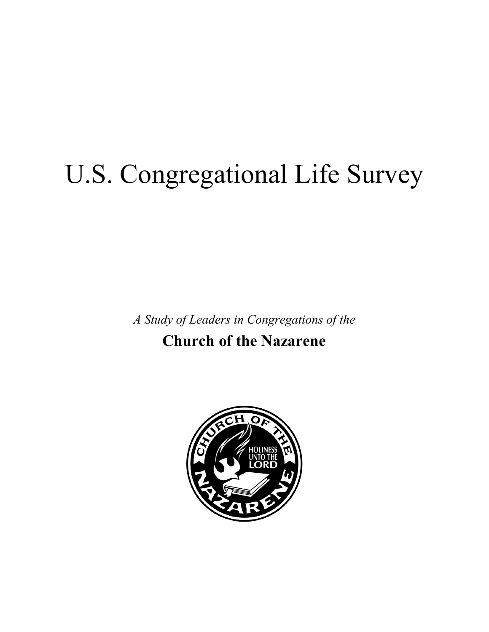# U.S. Congregational Life Survey

*A Study of Leaders in Congregations of the* 

**Church of the Nazarene** 

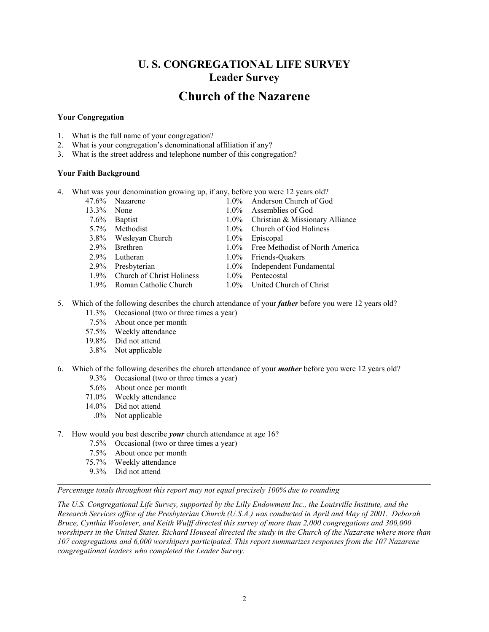# **U. S. CONGREGATIONAL LIFE SURVEY Leader Survey**

# **Church of the Nazarene**

# **Your Congregation**

- 1. What is the full name of your congregation?
- 2. What is your congregation's denominational affiliation if any?
- 3. What is the street address and telephone number of this congregation?

# **Your Faith Background**

- 4. What was your denomination growing up, if any, before you were 12 years old?
	-
	-
	-
	-
	- 3.8% Wesleyan Church 1.0% Episcopal 2.9% Brethren 1.0% Free Meth
	-
	-
	-
	- 1.9% Church of Christ Holiness 1.0% Pentecostal
	-
- 47.6% Nazarene 1.0% Anderson Church of God 13.3% None 1.0% Assemblies of God
- 7.6% Baptist 1.0% Christian & Missionary Alliance
- 5.7% Methodist 1.0% Church of God Holiness
	-
	- 1.0% Free Methodist of North America
- 2.9% Lutheran 1.0% Friends-Quakers
- 2.9% Presbyterian 1.0% Independent Fundamental
	-
- 1.9% Roman Catholic Church 1.0% United Church of Christ
- 5. Which of the following describes the church attendance of your *father* before you were 12 years old? 11.3% Occasional (two or three times a year)
	- 7.5% About once per month
	- 57.5% Weekly attendance
	- 19.8% Did not attend
	- 3.8% Not applicable
- 6. Which of the following describes the church attendance of your *mother* before you were 12 years old? 9.3% Occasional (two or three times a year)
	- 5.6% About once per month
	- 71.0% Weekly attendance
	- 14.0% Did not attend
		- .0% Not applicable
- 7. How would you best describe *your* church attendance at age 16?
	- 7.5% Occasional (two or three times a year)
	- 7.5% About once per month
	- 75.7% Weekly attendance
	- 9.3% Did not attend

*Percentage totals throughout this report may not equal precisely 100% due to rounding* 

*The U.S. Congregational Life Survey, supported by the Lilly Endowment Inc., the Louisville Institute, and the Research Services office of the Presbyterian Church (U.S.A.) was conducted in April and May of 2001. Deborah Bruce, Cynthia Woolever, and Keith Wulff directed this survey of more than 2,000 congregations and 300,000 worshipers in the United States. Richard Houseal directed the study in the Church of the Nazarene where more than 107 congregations and 6,000 worshipers participated. This report summarizes responses from the 107 Nazarene congregational leaders who completed the Leader Survey.*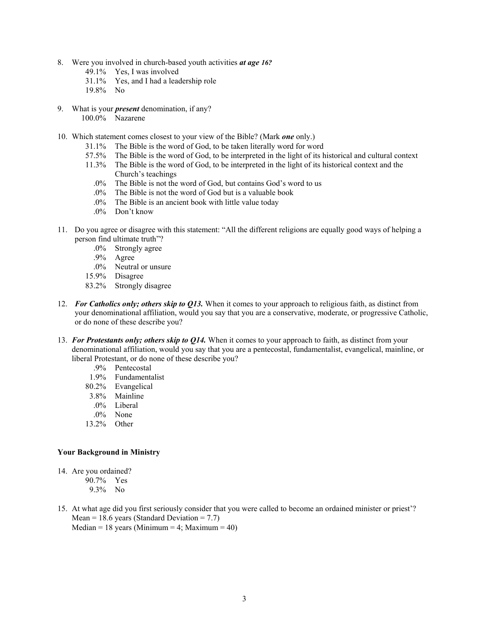- 8. Were you involved in church-based youth activities *at age 16?* 
	- 49.1% Yes, I was involved
	- 31.1% Yes, and I had a leadership role
	- 19.8% No
- 9. What is your *present* denomination, if any? 100.0% Nazarene
- 10. Which statement comes closest to your view of the Bible? (Mark *one* only.)
	- 31.1% The Bible is the word of God, to be taken literally word for word
	- 57.5% The Bible is the word of God, to be interpreted in the light of its historical and cultural context
	- 11.3% The Bible is the word of God, to be interpreted in the light of its historical context and the Church's teachings
		- .0% The Bible is not the word of God, but contains God's word to us
		- .0% The Bible is not the word of God but is a valuable book
		- .0% The Bible is an ancient book with little value today
		- .0% Don't know
- 11. Do you agree or disagree with this statement: "All the different religions are equally good ways of helping a person find ultimate truth"?
	- .0% Strongly agree
	- .9% Agree
	- .0% Neutral or unsure
	- 15.9% Disagree
	- 83.2% Strongly disagree
- 12. *For Catholics only; others skip to Q13.* When it comes to your approach to religious faith, as distinct from your denominational affiliation, would you say that you are a conservative, moderate, or progressive Catholic, or do none of these describe you?
- 13. *For Protestants only; others skip to Q14.* When it comes to your approach to faith, as distinct from your denominational affiliation, would you say that you are a pentecostal, fundamentalist, evangelical, mainline, or liberal Protestant, or do none of these describe you?
	- .9% Pentecostal
	- 1.9% Fundamentalist
	- 80.2% Evangelical
	- 3.8% Mainline
	- .0% Liberal
	- .0% None
	- 13.2% Other

# **Your Background in Ministry**

- 14. Are you ordained?
	- 90.7% Yes 9.3% No
- 15. At what age did you first seriously consider that you were called to become an ordained minister or priest'? Mean = 18.6 years (Standard Deviation =  $7.7$ ) Median = 18 years (Minimum = 4; Maximum = 40)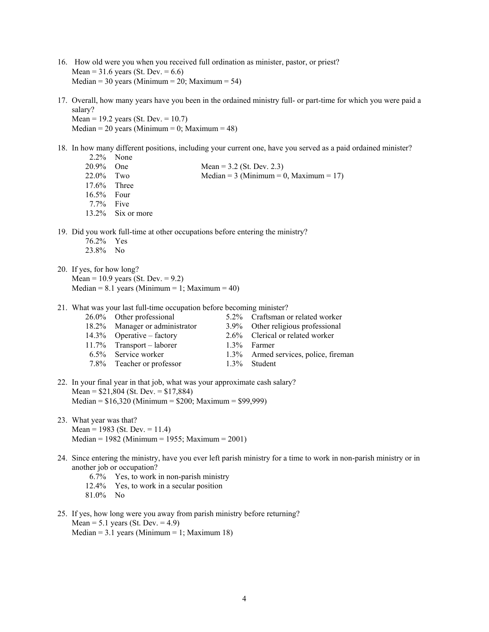- 16. How old were you when you received full ordination as minister, pastor, or priest? Mean =  $31.6$  years (St. Dev. =  $6.6$ ) Median =  $30$  years (Minimum =  $20$ ; Maximum =  $54$ )
- 17. Overall, how many years have you been in the ordained ministry full- or part-time for which you were paid a salary? Mean = 19.2 years (St. Dev. = 10.7)

Median = 20 years (Minimum = 0; Maximum = 48)

18. In how many different positions, including your current one, have you served as a paid ordained minister? 2.2% None

| <u>_ _ _ _ _ _ _</u> | $\sim$            |                                                                               |
|----------------------|-------------------|-------------------------------------------------------------------------------|
| 20.9%                | <b>One</b>        | Mean = $3.2$ (St. Dev. 2.3)                                                   |
| $22.0\%$ Two         |                   | Median = $3$ (Minimum = 0, Maximum = 17)                                      |
| $17.6\%$ Three       |                   |                                                                               |
| $16.5\%$ Four        |                   |                                                                               |
| $7.7\%$ Five         |                   |                                                                               |
|                      | 13.2% Six or more |                                                                               |
|                      |                   |                                                                               |
|                      |                   | 19. Did you work full-time at other occupations before entering the ministry? |

- 76.2% Yes
- 23.8% No
- 20. If yes, for how long? Mean =  $10.9$  years (St. Dev. =  $9.2$ )  $Median = 8.1 years (Minimum = 1; Maximum = 40)$
- 21. What was your last full-time occupation before becoming minister?

| 26.0% Other professional       | 5.2% Craftsman or related worker     |
|--------------------------------|--------------------------------------|
| 18.2% Manager or administrator | 3.9% Other religious professional    |
| $14.3\%$ Operative – factory   | 2.6% Clerical or related worker      |
| 11.7% Transport – laborer      | 1.3% Farmer                          |
| 6.5% Service worker            | 1.3% Armed services, police, fireman |
| 7.8% Teacher or professor      | 1.3% Student                         |
|                                |                                      |

- 22. In your final year in that job, what was your approximate cash salary? Mean = \$21,804 (St. Dev. = \$17,884) Median = \$16,320 (Minimum = \$200; Maximum = \$99,999)
- 23. What year was that? Mean = 1983 (St. Dev. = 11.4) Median = 1982 (Minimum = 1955; Maximum = 2001)
- 24. Since entering the ministry, have you ever left parish ministry for a time to work in non-parish ministry or in another job or occupation?
	- 6.7% Yes, to work in non-parish ministry
	- 12.4% Yes, to work in a secular position
	- 81.0% No
- 25. If yes, how long were you away from parish ministry before returning? Mean =  $5.1$  years (St. Dev. =  $4.9$ ) Median =  $3.1$  years (Minimum = 1; Maximum 18)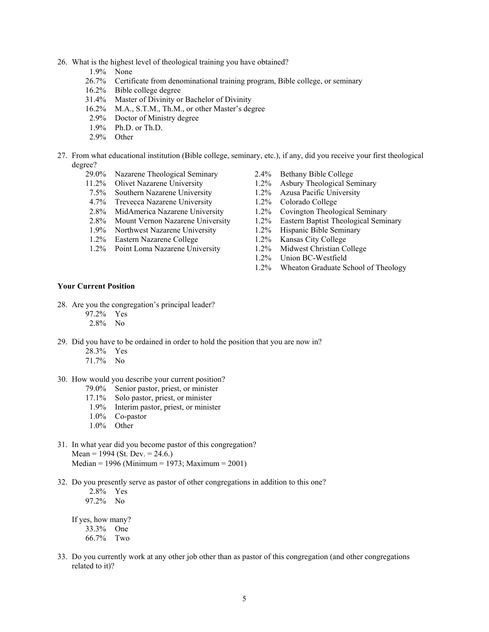- 26. What is the highest level of theological training you have obtained?
	- 1.9% None
	- 26.7% Certificate from denominational training program, Bible college, or seminary
	- 16.2% Bible college degree
	- 31.4% Master of Divinity or Bachelor of Divinity
	- 16.2% M.A., S.T.M., Th.M., or other Master's degree
	- 2.9% Doctor of Ministry degree
	- 1.9% Ph.D. or Th.D.
	- 2.9% Other
- 27. From what educational institution (Bible college, seminary, etc.), if any, did you receive your first theological degree?
	- 29.0% Nazarene Theological Seminary 2.4% Bethany Bible College
	-
	- 7.5% Southern Nazarene University 1.2% Azusa Pacific University
	- 4.7% Trevecca Nazarene University 1.2% Colorado College
	- 2.8% MidAmerica Nazarene University 1.2% Covington Theological Seminary
	-
	- 1.9% Northwest Nazarene University 1.2% Hispanic Bible Seminary
	- 1.2% Eastern Nazarene College 1.2% Kansas City College
	- 1.2% Point Loma Nazarene University 1.2% Midwest Christian College
- 
- 11.2% Olivet Nazarene University 1.2% Asbury Theological Seminary
	-
	-
	-
- 2.8% Mount Vernon Nazarene University 1.2% Eastern Baptist Theological Seminary
	-
	-
	-
	- 1.2% Union BC-Westfield
	- 1.2% Wheaton Graduate School of Theology

#### **Your Current Position**

- 28. Are you the congregation's principal leader?
	- 97.2% Yes
	- 2.8% No
- 29. Did you have to be ordained in order to hold the position that you are now in?
	- 28.3% Yes
	- 71.7% No
- 30. How would you describe your current position?
	- 79.0% Senior pastor, priest, or minister
	- 17.1% Solo pastor, priest, or minister
	- 1.9% Interim pastor, priest, or minister
	- 1.0% Co-pastor
	- 1.0% Other
- 31. In what year did you become pastor of this congregation? Mean = 1994 (St. Dev. =  $24.6$ .) Median = 1996 (Minimum = 1973; Maximum = 2001)
- 32. Do you presently serve as pastor of other congregations in addition to this one?
	- 2.8% Yes 97.2% No If yes, how many?

 33.3% One 66.7% Two

33. Do you currently work at any other job other than as pastor of this congregation (and other congregations related to it)?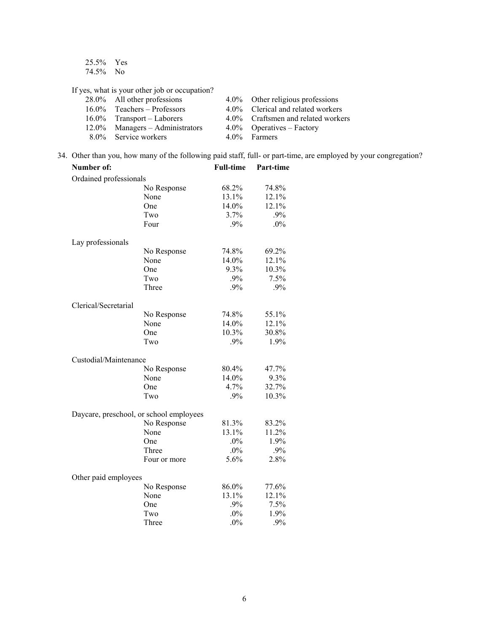25.5% Yes 74.5% No

If yes, what is your other job or occupation?

| 28.0% All other professions        | 4.0% Other religious professions   |
|------------------------------------|------------------------------------|
| $16.0\%$ Teachers – Professors     | 4.0% Clerical and related workers  |
| $16.0\%$ Transport – Laborers      | 4.0% Craftsmen and related workers |
| $12.0\%$ Managers – Administrators | $4.0\%$ Operatives – Factory       |
| 8.0% Service workers               | 4.0% Farmers                       |

34. Other than you, how many of the following paid staff, full- or part-time, are employed by your congregation?

| Number of:                              |              | <b>Full-time</b> | Part-time |
|-----------------------------------------|--------------|------------------|-----------|
| Ordained professionals                  |              |                  |           |
|                                         | No Response  | 68.2%            | 74.8%     |
|                                         | None         | 13.1%            | 12.1%     |
|                                         | One          | 14.0%            | 12.1%     |
|                                         | Two          | 3.7%             | .9%       |
|                                         | Four         | .9%              | $.0\%$    |
| Lay professionals                       |              |                  |           |
|                                         | No Response  | 74.8%            | 69.2%     |
|                                         | None         | 14.0%            | 12.1%     |
|                                         | One          | 9.3%             | 10.3%     |
|                                         | Two          | .9%              | 7.5%      |
|                                         | Three        | .9%              | $.9\%$    |
| Clerical/Secretarial                    |              |                  |           |
|                                         | No Response  | 74.8%            | 55.1%     |
|                                         | None         | 14.0%            | 12.1%     |
|                                         | One          | 10.3%            | 30.8%     |
|                                         | Two          | .9%              | 1.9%      |
| Custodial/Maintenance                   |              |                  |           |
|                                         | No Response  | 80.4%            | 47.7%     |
|                                         | None         | 14.0%            | 9.3%      |
|                                         | One          | 4.7%             | 32.7%     |
|                                         | Two          | .9%              | 10.3%     |
| Daycare, preschool, or school employees |              |                  |           |
|                                         | No Response  | 81.3%            | 83.2%     |
|                                         | None         | 13.1%            | 11.2%     |
|                                         | One          | $.0\%$           | 1.9%      |
|                                         | Three        | $.0\%$           | .9%       |
|                                         | Four or more | 5.6%             | 2.8%      |
| Other paid employees                    |              |                  |           |
|                                         | No Response  | 86.0%            | 77.6%     |
|                                         | None         | 13.1%            | 12.1%     |
|                                         | One          | .9%              | 7.5%      |
|                                         | Two          | $.0\%$           | 1.9%      |
|                                         | Three        | .0%              | .9%       |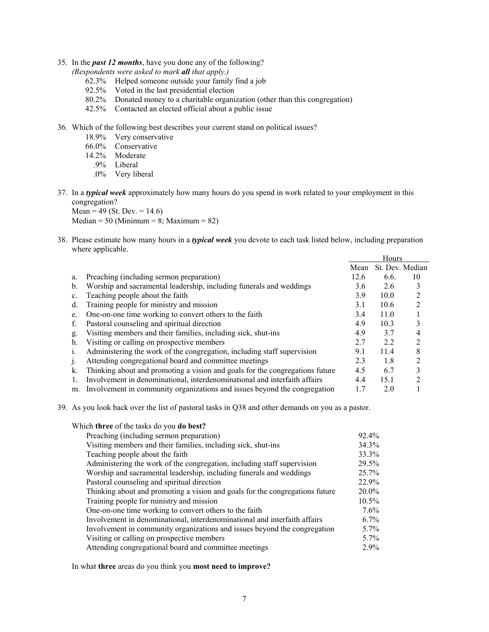35. In the *past 12 months*, have you done any of the following?

*(Respondents were asked to mark all that apply.)*

- 62.3% Helped someone outside your family find a job
- 92.5% Voted in the last presidential election
- 80.2% Donated money to a charitable organization (other than this congregation)
- 42.5% Contacted an elected official about a public issue
- 36. Which of the following best describes your current stand on political issues?
	- 18.9% Very conservative
	- 66.0% Conservative
	- 14.2% Moderate
		- .9% Liberal
		- .0% Very liberal
- 37. In a *typical week* approximately how many hours do you spend in work related to your employment in this congregation?

Mean =  $49$  (St. Dev. =  $14.6$ ) Median = 50 (Minimum = 8; Maximum = 82)

38. Please estimate how many hours in a *typical week* you devote to each task listed below, including preparation where applicable.

|    |                                                                              |      | Hours |                 |
|----|------------------------------------------------------------------------------|------|-------|-----------------|
|    |                                                                              | Mean |       | St. Dev. Median |
| a. | Preaching (including sermon preparation)                                     | 12.6 | 6.6.  | 10              |
| b. | Worship and sacramental leadership, including funerals and weddings          | 3.6  | 2.6   |                 |
| c. | Teaching people about the faith                                              | 3.9  | 10.0  |                 |
| d. | Training people for ministry and mission                                     | 3.1  | 10.6  | 2               |
| e. | One-on-one time working to convert others to the faith                       | 3.4  | 11.0  |                 |
| f. | Pastoral counseling and spiritual direction                                  | 4.9  | 10.3  | 3               |
| g. | Visiting members and their families, including sick, shut-ins                | 4.9  | 37    | 4               |
| h. | Visiting or calling on prospective members                                   | 2.7  | 2.2   | ↑               |
|    | Administering the work of the congregation, including staff supervision      | 9.1  | 11.4  | 8               |
|    | Attending congregational board and committee meetings                        | 2.3  | 1.8   | ↑               |
| k. | Thinking about and promoting a vision and goals for the congregations future | 4.5  | 6.7   | 3               |
|    | Involvement in denominational, interdenominational and interfaith affairs    | 4.4  | 15.1  | റ               |
| m. | Involvement in community organizations and issues beyond the congregation    |      | 2.0   |                 |

39. As you look back over the list of pastoral tasks in Q38 and other demands on you as a pastor.

Which **three** of the tasks do you **do best?** Preaching (including sermon preparation) 92.4% Visiting members and their families, including sick, shut-ins 34.3% Teaching people about the faith 33.3% Administering the work of the congregation, including staff supervision 29.5% Worship and sacramental leadership, including funerals and weddings 25.7% Pastoral counseling and spiritual direction 22.9% Thinking about and promoting a vision and goals for the congregations future 20.0% Training people for ministry and mission 10.5% One-on-one time working to convert others to the faith 7.6% Involvement in denominational, interdenominational and interfaith affairs 6.7% Involvement in community organizations and issues beyond the congregation 5.7% Visiting or calling on prospective members 5.7% Attending congregational board and committee meetings 2.9%

In what **three** areas do you think you **most need to improve?**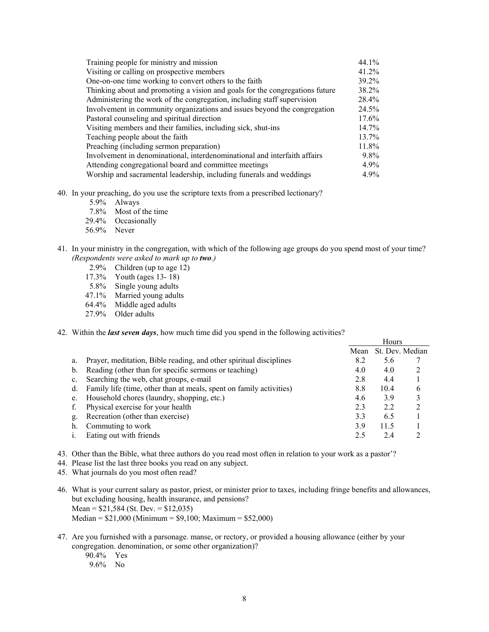| Training people for ministry and mission                                     | 44.1%    |
|------------------------------------------------------------------------------|----------|
| Visiting or calling on prospective members                                   | $41.2\%$ |
| One-on-one time working to convert others to the faith                       | 39.2%    |
| Thinking about and promoting a vision and goals for the congregations future | 38.2%    |
| Administering the work of the congregation, including staff supervision      | 28.4%    |
| Involvement in community organizations and issues beyond the congregation    | 24.5%    |
| Pastoral counseling and spiritual direction                                  | 17.6%    |
| Visiting members and their families, including sick, shut-ins                | $14.7\%$ |
| Teaching people about the faith                                              | 13.7%    |
| Preaching (including sermon preparation)                                     | 11.8%    |
| Involvement in denominational, interdenominational and interfaith affairs    | $9.8\%$  |
| Attending congregational board and committee meetings                        | $4.9\%$  |
| Worship and sacramental leadership, including funerals and weddings          | $4.9\%$  |

## 40. In your preaching, do you use the scripture texts from a prescribed lectionary?

- 5.9% Always
- 7.8% Most of the time
- 29.4% Occasionally
- 56.9% Never
- 41. In your ministry in the congregation, with which of the following age groups do you spend most of your time? *(Respondents were asked to mark up to two.)*
	- 2.9% Children (up to age 12)
	- 17.3% Youth (ages 13- 18)
	- 5.8% Single young adults
	- 47.1% Married young adults
	- 64.4% Middle aged adults
	- 27.9% Older adults

#### 42. Within the *last seven days*, how much time did you spend in the following activities?

|    |                                                                     |      | Hours |                 |
|----|---------------------------------------------------------------------|------|-------|-----------------|
|    |                                                                     | Mean |       | St. Dev. Median |
| a. | Prayer, meditation, Bible reading, and other spiritual disciplines  | 8.2  | 5.6   |                 |
| b. | Reading (other than for specific sermons or teaching)               | 4.0  | 4.0   |                 |
| c. | Searching the web, chat groups, e-mail                              | 2.8  | 4.4   |                 |
| d. | Family life (time, other than at meals, spent on family activities) | 8.8  | 10.4  | 6               |
| e. | Household chores (laundry, shopping, etc.)                          | 4.6  | 3.9   |                 |
|    | Physical exercise for your health                                   | 2.3  | 22    |                 |
| g. | Recreation (other than exercise)                                    | 3.3  | 6.5   |                 |
| h. | Commuting to work                                                   | 3.9  | 11.5  |                 |
|    | Eating out with friends                                             | 25   | 24    |                 |

- 43. Other than the Bible, what three authors do you read most often in relation to your work as a pastor'?
- 44. Please list the last three books you read on any subject.
- 45. What journals do you most often read?
- 46. What is your current salary as pastor, priest, or minister prior to taxes, including fringe benefits and allowances, but excluding housing, health insurance, and pensions? Mean = \$21,584 (St. Dev. = \$12,035) Median = \$21,000 (Minimum = \$9,100; Maximum = \$52,000)
- 47. Are you furnished with a parsonage. manse, or rectory, or provided a housing allowance (either by your congregation. denomination, or some other organization)?
	- 90.4% Yes
	- 9.6% No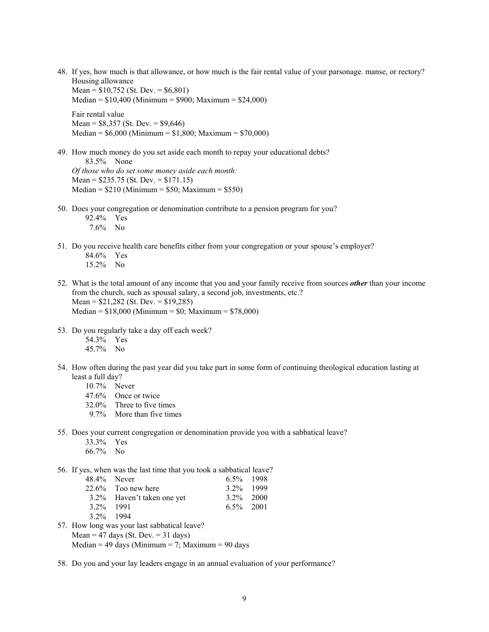48. If yes, how much is that allowance, or how much is the fair rental value of your parsonage. manse, or rectory? Housing allowance Mean =  $$10,752$  (St. Dev. =  $$6,801$ )

 $Median = $10,400 (Minimum = $900; Maximum = $24,000)$ 

Fair rental value Mean =  $$8,357$  (St. Dev. =  $$9,646$ )  $Median = $6,000 (Minimum = $1,800; Maximum = $70,000)$ 

- 49. How much money do you set aside each month to repay your educational debts? 83.5% None *Of those who do set some money aside each month:*  Mean = \$235.75 (St. Dev. = \$171.15)  $Median = $210 (Minimum = $50; Maximum = $550)$
- 50. Does your congregation or denomination contribute to a pension program for you? 92.4% Yes
	- 7.6% No
- 51. Do you receive health care benefits either from your congregation or your spouse's employer?
	- 84.6% Yes 15.2% No
- 52. What is the total amount of any income that you and your family receive from sources *other* than your income from the church, such as spousal salary, a second job, investments, etc.? Mean = \$21,282 (St. Dev. = \$19,285)  $Median = $18,000 (Minimum = $0; Maximum = $78,000)$
- 53. Do you regularly take a day off each week?
	- 54.3% Yes
	- 45.7% No
- 54. How often during the past year did you take part in some form of continuing theological education lasting at least a full day?
	- 10.7% Never
	- 47.6% Once or twice
	- 32.0% Three to five times
	- 9.7% More than five times
- 55. Does your current congregation or denomination provide you with a sabbatical leave?
	- 33.3% Yes
	- 66.7% No

56. If yes, when was the last time that you took a sabbatical leave?

|              | 48.4% Never                | $6.5\%$ 1998 |  |
|--------------|----------------------------|--------------|--|
|              | 22.6% Too new here         | 3 2\% 1999   |  |
|              | 3.2% Haven't taken one yet | $3.2\%$ 2000 |  |
| $3.2\%$ 1991 |                            | $6.5\%$ 2001 |  |
| 3 2% 1994    |                            |              |  |

- 57. How long was your last sabbatical leave? Mean = 47 days (St. Dev. = 31 days) Median = 49 days (Minimum = 7; Maximum = 90 days
- 58. Do you and your lay leaders engage in an annual evaluation of your performance?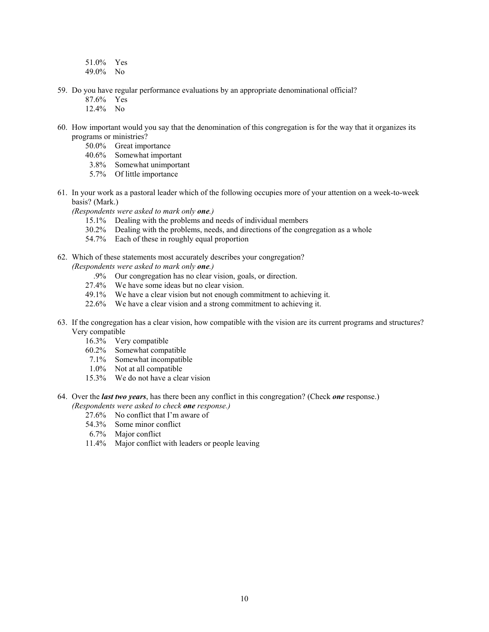- 51.0% Yes
- 49.0% No
- 59. Do you have regular performance evaluations by an appropriate denominational official?
	- 87.6% Yes
	- 12.4% No
- 60. How important would you say that the denomination of this congregation is for the way that it organizes its programs or ministries?
	- 50.0% Great importance
	- 40.6% Somewhat important
	- 3.8% Somewhat unimportant
	- 5.7% Of little importance
- 61. In your work as a pastoral leader which of the following occupies more of your attention on a week-to-week basis? (Mark.)
	- *(Respondents were asked to mark only one.)*
		- 15.1% Dealing with the problems and needs of individual members
		- 30.2% Dealing with the problems, needs, and directions of the congregation as a whole
		- 54.7% Each of these in roughly equal proportion
- 62. Which of these statements most accurately describes your congregation?
	- *(Respondents were asked to mark only one.)*
		- .9% Our congregation has no clear vision, goals, or direction.
		- 27.4% We have some ideas but no clear vision.
		- 49.1% We have a clear vision but not enough commitment to achieving it.
		- 22.6% We have a clear vision and a strong commitment to achieving it.
- 63. If the congregation has a clear vision, how compatible with the vision are its current programs and structures? Very compatible
	- 16.3% Very compatible
	- 60.2% Somewhat compatible
	- 7.1% Somewhat incompatible
	- 1.0% Not at all compatible
	- 15.3% We do not have a clear vision
- 64. Over the *last two years*, has there been any conflict in this congregation? (Check *one* response.)
	- *(Respondents were asked to check one response.)*
		- 27.6% No conflict that I'm aware of
		- 54.3% Some minor conflict
		- 6.7% Major conflict
		- 11.4% Major conflict with leaders or people leaving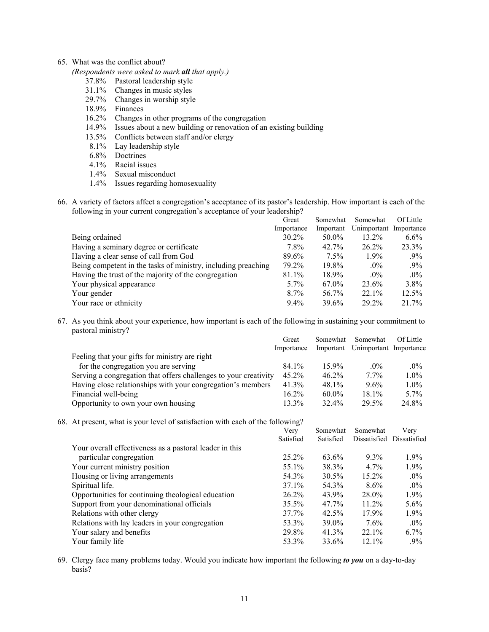# 65. What was the conflict about?

*(Respondents were asked to mark all that apply.)*

- 37.8% Pastoral leadership style
- 31.1% Changes in music styles
- 29.7% Changes in worship style
- 18.9% Finances
- 16.2% Changes in other programs of the congregation
- 14.9% Issues about a new building or renovation of an existing building
- 13.5% Conflicts between staff and/or clergy
- 8.1% Lay leadership style
- 6.8% Doctrines
- 4.1% Racial issues
- 1.4% Sexual misconduct
- 1.4% Issues regarding homosexuality
- 66. A variety of factors affect a congregation's acceptance of its pastor's leadership. How important is each of the following in your current congregation's acceptance of your leadership?

|                                                               | Great      | Somewhat  | Somewhat               | <b>Of Little</b> |
|---------------------------------------------------------------|------------|-----------|------------------------|------------------|
|                                                               | Importance | Important | Unimportant Importance |                  |
| Being ordained                                                | $30.2\%$   | 50.0%     | $13.2\%$               | $6.6\%$          |
| Having a seminary degree or certificate                       | 7.8%       | $42.7\%$  | $26.2\%$               | 23.3%            |
| Having a clear sense of call from God                         | 89.6%      | $7.5\%$   | $1.9\%$                | $.9\%$           |
| Being competent in the tasks of ministry, including preaching | 79.2%      | 19.8%     | $.0\%$                 | $.9\%$           |
| Having the trust of the majority of the congregation          | 81.1%      | $18.9\%$  | $.0\%$                 | $.0\%$           |
| Your physical appearance                                      | $5.7\%$    | 67.0%     | 23.6%                  | 3.8%             |
| Your gender                                                   | $8.7\%$    | 56.7%     | $22.1\%$               | 12.5%            |
| Your race or ethnicity                                        | $9.4\%$    | 39.6%     | 29.2%                  | 21.7%            |

67. As you think about your experience, how important is each of the following in sustaining your commitment to pastoral ministry?

|                                                                  | Great      | Somewhat  | Somewhat               | <b>Of Little</b> |
|------------------------------------------------------------------|------------|-----------|------------------------|------------------|
|                                                                  | Importance | Important | Unimportant Importance |                  |
| Feeling that your gifts for ministry are right                   |            |           |                        |                  |
| for the congregation you are serving                             | 84.1%      | 159%      | $.0\%$                 | .0%              |
| Serving a congregation that offers challenges to your creativity | $45.2\%$   | $46.2\%$  | $7.7\%$                | $1.0\%$          |
| Having close relationships with your congregation's members      | 41.3%      | 48.1%     | 9.6%                   | $1.0\%$          |
| Financial well-being                                             | $16.2\%$   | $60.0\%$  | $18.1\%$               | $5.7\%$          |
| Opportunity to own your own housing                              | $13.3\%$   | 32.4%     | 29.5%                  | 24.8%            |

68. At present, what is your level of satisfaction with each of the following?

|                                                         | Very      | Somewhat  | Somewhat     | Verv         |
|---------------------------------------------------------|-----------|-----------|--------------|--------------|
|                                                         | Satisfied | Satisfied | Dissatisfied | Dissatisfied |
| Your overall effectiveness as a pastoral leader in this |           |           |              |              |
| particular congregation                                 | 25.2%     | 63.6%     | $9.3\%$      | $1.9\%$      |
| Your current ministry position                          | 55.1%     | 38.3%     | $4.7\%$      | 1.9%         |
| Housing or living arrangements                          | 54.3%     | 30.5%     | $15.2\%$     | $.0\%$       |
| Spiritual life.                                         | 37.1%     | 54.3%     | 8.6%         | $.0\%$       |
| Opportunities for continuing theological education      | $26.2\%$  | 43.9%     | 28.0%        | 1.9%         |
| Support from your denominational officials              | 35.5%     | 47.7%     | $11.2\%$     | $5.6\%$      |
| Relations with other clergy                             | 37.7%     | 42.5%     | 17.9%        | $1.9\%$      |
| Relations with lay leaders in your congregation         | 53.3%     | 39.0%     | $7.6\%$      | $.0\%$       |
| Your salary and benefits                                | 29.8%     | $41.3\%$  | $22.1\%$     | $6.7\%$      |
| Your family life                                        | 53.3%     | 33.6%     | $12.1\%$     | $.9\%$       |

69. Clergy face many problems today. Would you indicate how important the following *to you* on a day-to-day basis?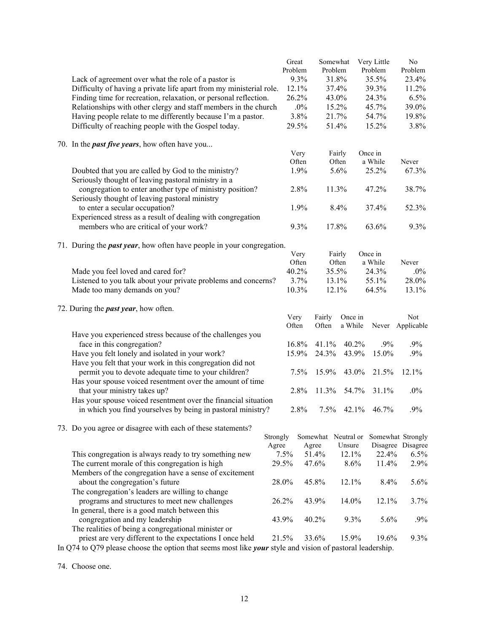| Lack of agreement over what the role of a pastor is<br>Difficulty of having a private life apart from my ministerial role.<br>Finding time for recreation, relaxation, or personal reflection.<br>Relationships with other clergy and staff members in the church<br>Having people relate to me differently because I'm a pastor.<br>Difficulty of reaching people with the Gospel today. |          | Great<br>Problem | 9.3%<br>12.1%<br>26.2%<br>$.0\%$<br>3.8%<br>29.5% | Somewhat<br>Problem<br>31.8%<br>37.4%<br>43.0%<br>15.2%<br>21.7%<br>51.4% |                     | Very Little<br>Problem<br>35.5%<br>39.3%<br>24.3%<br>45.7%<br>54.7%<br>15.2% | No<br>Problem<br>23.4%<br>11.2%<br>6.5%<br>39.0%<br>19.8%<br>3.8% |
|-------------------------------------------------------------------------------------------------------------------------------------------------------------------------------------------------------------------------------------------------------------------------------------------------------------------------------------------------------------------------------------------|----------|------------------|---------------------------------------------------|---------------------------------------------------------------------------|---------------------|------------------------------------------------------------------------------|-------------------------------------------------------------------|
|                                                                                                                                                                                                                                                                                                                                                                                           |          |                  |                                                   |                                                                           |                     |                                                                              |                                                                   |
| 70. In the <i>past five years</i> , how often have you                                                                                                                                                                                                                                                                                                                                    |          |                  | Very                                              |                                                                           | Fairly              | Once in                                                                      |                                                                   |
|                                                                                                                                                                                                                                                                                                                                                                                           |          |                  | Often                                             |                                                                           | Often               | a While                                                                      | Never                                                             |
| Doubted that you are called by God to the ministry?                                                                                                                                                                                                                                                                                                                                       |          |                  | 1.9%                                              |                                                                           | 5.6%                | 25.2%                                                                        | 67.3%                                                             |
| Seriously thought of leaving pastoral ministry in a                                                                                                                                                                                                                                                                                                                                       |          |                  |                                                   |                                                                           |                     |                                                                              |                                                                   |
| congregation to enter another type of ministry position?                                                                                                                                                                                                                                                                                                                                  |          |                  | 2.8%                                              | 11.3%                                                                     |                     | 47.2%                                                                        | 38.7%                                                             |
| Seriously thought of leaving pastoral ministry                                                                                                                                                                                                                                                                                                                                            |          |                  |                                                   |                                                                           |                     |                                                                              |                                                                   |
| to enter a secular occupation?                                                                                                                                                                                                                                                                                                                                                            |          |                  | 1.9%                                              |                                                                           | 8.4%                | 37.4%                                                                        | 52.3%                                                             |
| Experienced stress as a result of dealing with congregation<br>members who are critical of your work?                                                                                                                                                                                                                                                                                     |          |                  | 9.3%                                              | 17.8%                                                                     |                     | 63.6%                                                                        | 9.3%                                                              |
|                                                                                                                                                                                                                                                                                                                                                                                           |          |                  |                                                   |                                                                           |                     |                                                                              |                                                                   |
| 71. During the <i>past year</i> , how often have people in your congregation.                                                                                                                                                                                                                                                                                                             |          |                  |                                                   |                                                                           |                     |                                                                              |                                                                   |
|                                                                                                                                                                                                                                                                                                                                                                                           |          |                  | Very                                              |                                                                           | Fairly              | Once in                                                                      |                                                                   |
|                                                                                                                                                                                                                                                                                                                                                                                           |          |                  | Often                                             |                                                                           | Often               | a While                                                                      | Never                                                             |
| Made you feel loved and cared for?<br>Listened to you talk about your private problems and concerns?                                                                                                                                                                                                                                                                                      |          |                  | 40.2%<br>3.7%                                     | 35.5%                                                                     |                     | 24.3%                                                                        | $.0\%$<br>28.0%                                                   |
| Made too many demands on you?                                                                                                                                                                                                                                                                                                                                                             |          |                  | 10.3%                                             | 13.1%<br>12.1%                                                            |                     | 55.1%<br>64.5%                                                               | 13.1%                                                             |
|                                                                                                                                                                                                                                                                                                                                                                                           |          |                  |                                                   |                                                                           |                     |                                                                              |                                                                   |
| 72. During the <i>past year</i> , how often.                                                                                                                                                                                                                                                                                                                                              |          |                  |                                                   |                                                                           |                     |                                                                              |                                                                   |
|                                                                                                                                                                                                                                                                                                                                                                                           |          | Very             |                                                   | Fairly                                                                    | Once in             |                                                                              | Not                                                               |
|                                                                                                                                                                                                                                                                                                                                                                                           |          | Often            |                                                   | Often                                                                     | a While             |                                                                              | Never Applicable                                                  |
| Have you experienced stress because of the challenges you                                                                                                                                                                                                                                                                                                                                 |          |                  |                                                   |                                                                           |                     |                                                                              |                                                                   |
| face in this congregation?<br>Have you felt lonely and isolated in your work?                                                                                                                                                                                                                                                                                                             |          |                  | 16.8%<br>15.9%                                    | 41.1%<br>24.3%                                                            | 40.2%<br>43.9%      | .9%<br>15.0%                                                                 | .9%<br>$.9\%$                                                     |
| Have you felt that your work in this congregation did not                                                                                                                                                                                                                                                                                                                                 |          |                  |                                                   |                                                                           |                     |                                                                              |                                                                   |
| permit you to devote adequate time to your children?                                                                                                                                                                                                                                                                                                                                      |          |                  | 7.5%                                              | 15.9%                                                                     | 43.0%               | 21.5%                                                                        | 12.1%                                                             |
| Has your spouse voiced resentment over the amount of time                                                                                                                                                                                                                                                                                                                                 |          |                  |                                                   |                                                                           |                     |                                                                              |                                                                   |
| that your ministry takes up?                                                                                                                                                                                                                                                                                                                                                              |          |                  | 2.8%                                              | 11.3%                                                                     | 54.7%               | 31.1%                                                                        | $.0\%$                                                            |
| Has your spouse voiced resentment over the financial situation                                                                                                                                                                                                                                                                                                                            |          |                  |                                                   |                                                                           |                     |                                                                              |                                                                   |
| in which you find yourselves by being in pastoral ministry?                                                                                                                                                                                                                                                                                                                               |          |                  | 2.8%                                              |                                                                           | 7.5% 42.1%          | 46.7%                                                                        | .9%                                                               |
|                                                                                                                                                                                                                                                                                                                                                                                           |          |                  |                                                   |                                                                           |                     |                                                                              |                                                                   |
| 73. Do you agree or disagree with each of these statements?                                                                                                                                                                                                                                                                                                                               | Strongly |                  |                                                   |                                                                           | Somewhat Neutral or |                                                                              | Somewhat Strongly                                                 |
|                                                                                                                                                                                                                                                                                                                                                                                           | Agree    |                  |                                                   | Agree                                                                     | Unsure              |                                                                              | Disagree Disagree                                                 |
| This congregation is always ready to try something new                                                                                                                                                                                                                                                                                                                                    |          | 7.5%             |                                                   | 51.4%                                                                     | 12.1%               | 22.4%                                                                        | 6.5%                                                              |
| The current morale of this congregation is high                                                                                                                                                                                                                                                                                                                                           |          | 29.5%            |                                                   | 47.6%                                                                     | 8.6%                | 11.4%                                                                        | 2.9%                                                              |
| Members of the congregation have a sense of excitement                                                                                                                                                                                                                                                                                                                                    |          |                  |                                                   |                                                                           |                     |                                                                              |                                                                   |
| about the congregation's future                                                                                                                                                                                                                                                                                                                                                           |          | 28.0%            |                                                   | 45.8%                                                                     | 12.1%               | 8.4%                                                                         | 5.6%                                                              |
| The congregation's leaders are willing to change                                                                                                                                                                                                                                                                                                                                          |          |                  |                                                   |                                                                           |                     |                                                                              |                                                                   |
| programs and structures to meet new challenges                                                                                                                                                                                                                                                                                                                                            |          | 26.2%            |                                                   | 43.9%                                                                     | 14.0%               | 12.1%                                                                        | 3.7%                                                              |
| In general, there is a good match between this                                                                                                                                                                                                                                                                                                                                            |          |                  |                                                   |                                                                           |                     | 5.6%                                                                         | .9%                                                               |
| congregation and my leadership<br>The realities of being a congregational minister or                                                                                                                                                                                                                                                                                                     |          | 43.9%            |                                                   | 40.2%                                                                     | 9.3%                |                                                                              |                                                                   |
| priest are very different to the expectations I once held                                                                                                                                                                                                                                                                                                                                 |          | 21.5%            |                                                   | 33.6%                                                                     | 15.9%               | 19.6%                                                                        | 9.3%                                                              |
| In Q74 to Q79 please choose the option that seems most like <i>your</i> style and vision of pastoral leadership.                                                                                                                                                                                                                                                                          |          |                  |                                                   |                                                                           |                     |                                                                              |                                                                   |

74. Choose one.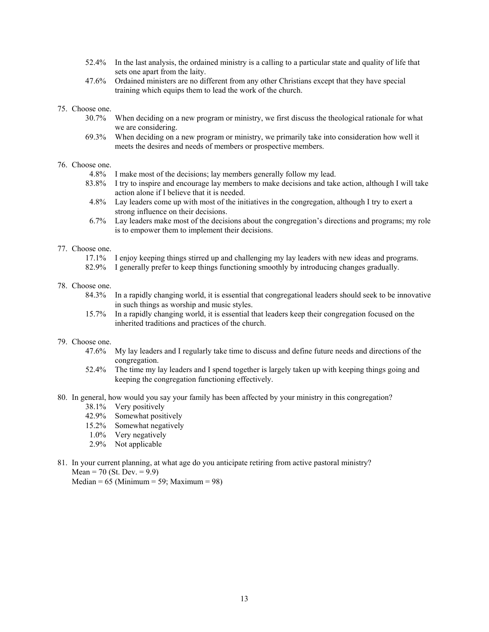- 52.4% In the last analysis, the ordained ministry is a calling to a particular state and quality of life that sets one apart from the laity.
- 47.6% Ordained ministers are no different from any other Christians except that they have special training which equips them to lead the work of the church.

#### 75. Choose one.

- 30.7% When deciding on a new program or ministry, we first discuss the theological rationale for what we are considering.
- 69.3% When deciding on a new program or ministry, we primarily take into consideration how well it meets the desires and needs of members or prospective members.

#### 76. Choose one.

- 4.8% I make most of the decisions; lay members generally follow my lead.
- 83.8% I try to inspire and encourage lay members to make decisions and take action, although I will take action alone if I believe that it is needed.
- 4.8% Lay leaders come up with most of the initiatives in the congregation, although I try to exert a strong influence on their decisions.
- 6.7% Lay leaders make most of the decisions about the congregation's directions and programs; my role is to empower them to implement their decisions.

#### 77. Choose one.

- 17.1% I enjoy keeping things stirred up and challenging my lay leaders with new ideas and programs.
- 82.9% I generally prefer to keep things functioning smoothly by introducing changes gradually.

## 78. Choose one.

- 84.3% In a rapidly changing world, it is essential that congregational leaders should seek to be innovative in such things as worship and music styles.
- 15.7% In a rapidly changing world, it is essential that leaders keep their congregation focused on the inherited traditions and practices of the church.

# 79. Choose one.

- 47.6% My lay leaders and I regularly take time to discuss and define future needs and directions of the congregation.
- 52.4% The time my lay leaders and I spend together is largely taken up with keeping things going and keeping the congregation functioning effectively.
- 80. In general, how would you say your family has been affected by your ministry in this congregation?
	- 38.1% Very positively
	- 42.9% Somewhat positively
	- 15.2% Somewhat negatively
	- 1.0% Very negatively
	- 2.9% Not applicable
- 81. In your current planning, at what age do you anticipate retiring from active pastoral ministry? Mean = 70 (St. Dev. =  $9.9$ )

Median =  $65$  (Minimum =  $59$ ; Maximum =  $98$ )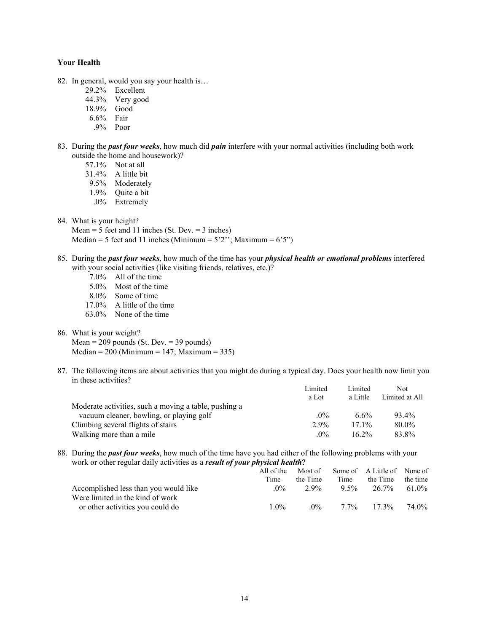# **Your Health**

- 82. In general, would you say your health is…
	- 29.2% Excellent
	- 44.3% Very good
	- 18.9% Good
	- 6.6% Fair
	- .9% Poor
- 83. During the *past four weeks*, how much did *pain* interfere with your normal activities (including both work outside the home and housework)?
	- 57.1% Not at all
	- 31.4% A little bit
	- 9.5% Moderately
	- 1.9% Quite a bit
	- .0% Extremely
- 84. What is your height?

Mean = 5 feet and 11 inches (St. Dev. = 3 inches) Median = 5 feet and 11 inches (Minimum =  $5'2''$ ; Maximum =  $6'5''$ )

- 85. During the *past four weeks*, how much of the time has your *physical health or emotional problems* interfered with your social activities (like visiting friends, relatives, etc.)?
	- 7.0% All of the time
	- 5.0% Most of the time
	- 8.0% Some of time
	- 17.0% A little of the time
	- 63.0% None of the time
- 86. What is your weight?

Mean =  $209$  pounds (St. Dev. =  $39$  pounds)  $Median = 200 (Minimum = 147; Maximum = 335)$ 

87. The following items are about activities that you might do during a typical day. Does your health now limit you in these activities?

|                                                       | Limited | Limited  | Not.           |
|-------------------------------------------------------|---------|----------|----------------|
|                                                       | a Lot   | a Little | Limited at All |
| Moderate activities, such a moving a table, pushing a |         |          |                |
| vacuum cleaner, bowling, or playing golf              | $.0\%$  | 6.6%     | $93.4\%$       |
| Climbing several flights of stairs                    | $2.9\%$ | $171\%$  | $80.0\%$       |
| Walking more than a mile                              | $.0\%$  | $16.2\%$ | 83.8%          |

88. During the *past four weeks*, how much of the time have you had either of the following problems with your work or other regular daily activities as a *result of your physical health*?

|                                       | All of the | Most of  |         | Some of A Little of None of |                   |
|---------------------------------------|------------|----------|---------|-----------------------------|-------------------|
|                                       | Time       | the Time | Time    | the Time                    | the time          |
| Accomplished less than you would like | $0\%$      | 2.9%     | $9.5\%$ | $26.7\%$ 61.0%              |                   |
| Were limited in the kind of work      |            |          |         |                             |                   |
| or other activities you could do      | $1.0\%$    |          |         | $0\%$ 7.7% 17.3%            | 74 0 <sub>%</sub> |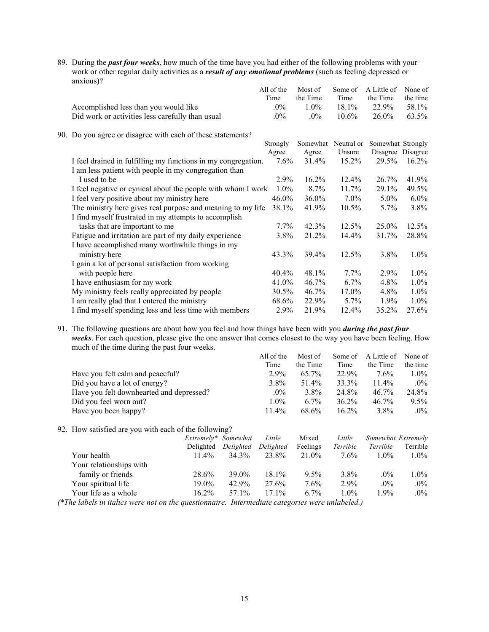89. During the *past four weeks*, how much of the time have you had either of the following problems with your work or other regular daily activities as a *result of any emotional problems* (such as feeling depressed or anxious)?

|                                                               | All of the | Most of  | Some of             | A Little of       | None of  |
|---------------------------------------------------------------|------------|----------|---------------------|-------------------|----------|
|                                                               | Time       | the Time | Time                | the Time          | the time |
| Accomplished less than you would like                         | $.0\%$     | $1.0\%$  | 18.1%               | 22.9%             | 58.1%    |
| Did work or activities less carefully than usual              | $.0\%$     | $.0\%$   | $10.6\%$            | 26.0%             | 63.5%    |
| 90. Do you agree or disagree with each of these statements?   |            |          |                     |                   |          |
|                                                               | Strongly   |          | Somewhat Neutral or | Somewhat Strongly |          |
|                                                               | Agree      | Agree    | Unsure              | Disagree Disagree |          |
| I feel drained in fulfilling my functions in my congregation. | $7.6\%$    | 31.4%    | $15.2\%$            | 29.5%             | $16.2\%$ |
| I am less patient with people in my congregation than         |            |          |                     |                   |          |
| I used to be                                                  | $2.9\%$    | 16.2%    | $12.4\%$            | 26.7%             | 41.9%    |
| I feel negative or cynical about the people with whom I work  | $1.0\%$    | 8.7%     | $11.7\%$            | 29.1%             | 49.5%    |
| I feel very positive about my ministry here                   | 46.0%      | 36.0%    | $7.0\%$             | $5.0\%$           | $6.0\%$  |
| The ministry here gives real purpose and meaning to my life   | 38.1%      | 41.9%    | $10.5\%$            | $5.7\%$           | 3.8%     |
| I find myself frustrated in my attempts to accomplish         |            |          |                     |                   |          |
| tasks that are important to me                                | $7.7\%$    | 42.3%    | 12.5%               | 25.0%             | 12.5%    |
| Fatigue and irritation are part of my daily experience        | 3.8%       | 21.2%    | 14.4%               | 31.7%             | 28.8%    |
| I have accomplished many worthwhile things in my              |            |          |                     |                   |          |
| ministry here                                                 | 43.3%      | 39.4%    | 12.5%               | $3.8\%$           | $1.0\%$  |
| I gain a lot of personal satisfaction from working            |            |          |                     |                   |          |
| with people here                                              | 40.4%      | 48.1%    | $7.7\%$             | $2.9\%$           | $1.0\%$  |
| I have enthusiasm for my work                                 | 41.0%      | 46.7%    | $6.7\%$             | 4.8%              | $1.0\%$  |
| My ministry feels really appreciated by people                | $30.5\%$   | 46.7%    | 17.0%               | $4.8\%$           | $1.0\%$  |
| I am really glad that I entered the ministry                  | 68.6%      | 22.9%    | $5.7\%$             | $1.9\%$           | $1.0\%$  |
| I find myself spending less and less time with members        | 2.9%       | 21.9%    | $12.4\%$            | 35.2%             | 27.6%    |

91. The following questions are about how you feel and how things have been with you *during the past four weeks*. For each question, please give the one answer that comes closest to the way you have been feeling. How much of the time during the past four weeks. All of the Most of Some of A Little of None of

|                                                       |                     |           | All of the | Most of  | Some of  | A Little of        | None of  |
|-------------------------------------------------------|---------------------|-----------|------------|----------|----------|--------------------|----------|
|                                                       |                     |           | Time       | the Time | Time     | the Time           | the time |
| Have you felt calm and peaceful?                      |                     |           | $2.9\%$    | 65.7%    | 22.9%    | $7.6\%$            | $1.0\%$  |
| Did you have a lot of energy?                         |                     |           | $3.8\%$    | 51.4%    | 33.3%    | $11.4\%$           | $.0\%$   |
| Have you felt downhearted and depressed?              |                     |           | $.0\%$     | $3.8\%$  | 24.8%    | $46.7\%$           | 24.8%    |
| Did you feel worn out?                                |                     |           | $1.0\%$    | $6.7\%$  | $36.2\%$ | $46.7\%$           | $9.5\%$  |
| Have you been happy?                                  |                     |           | 11.4%      | 68.6%    | $16.2\%$ | $3.8\%$            | $.0\%$   |
| 92. How satisfied are you with each of the following? |                     |           |            |          |          |                    |          |
|                                                       | Extremely* Somewhat |           | Little     | Mixed    | Little   | Somewhat Extremely |          |
|                                                       | Delighted           | Delighted | Delighted  | Feelings | Terrible | Terrible           | Terrible |
| Your health                                           | $11.4\%$            | 34.3%     | 23.8%      | 21.0%    | 7.6%     | $1.0\%$            | $1.0\%$  |
| Your relationships with                               |                     |           |            |          |          |                    |          |
| family or friends                                     | 28.6%               | $39.0\%$  | 18.1%      | $9.5\%$  | $3.8\%$  | $.0\%$             | $1.0\%$  |
| Your spiritual life                                   | $19.0\%$            | 42.9%     | 27.6%      | $7.6\%$  | $2.9\%$  | $.0\%$             | $.0\%$   |
| Your life as a whole                                  | $16.2\%$            | 57.1%     | $17.1\%$   | $6.7\%$  | $1.0\%$  | 1.9%               | $.0\%$   |
|                                                       |                     |           |            |          |          |                    |          |

*(\*The labels in italics were not on the questionnaire. Intermediate categories were unlabeled.)*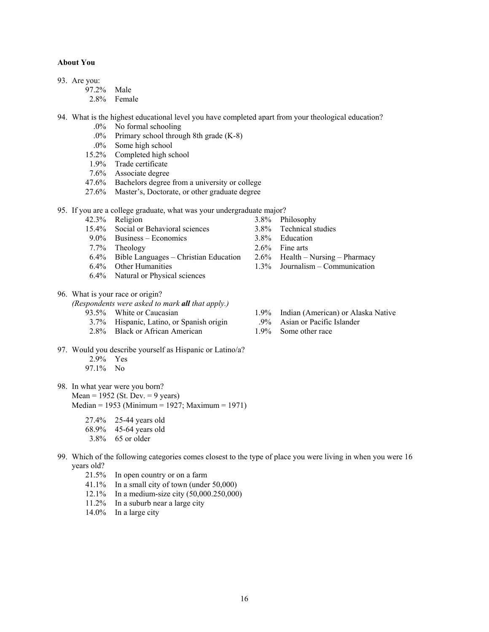# **About You**

- 93. Are you:
	- 97.2% Male
	- 2.8% Female
- 94. What is the highest educational level you have completed apart from your theological education?
	- .0% No formal schooling
	- .0% Primary school through 8th grade (K-8)
	- .0% Some high school
	- 15.2% Completed high school
	- 1.9% Trade certificate
	- 7.6% Associate degree
	- 47.6% Bachelors degree from a university or college
	- 27.6% Master's, Doctorate, or other graduate degree

95. If you are a college graduate, what was your undergraduate major?

- 
- 42.3% Religion 3.8% Philosophy<br>15.4% Social or Behavioral sciences 3.8% Technical st 15.4% Social or Behavioral sciences 3.8% Technical studies
- 9.0% Business Economics 3.8% Education
- 7.7% Theology 2.6% Fine arts
- 6.4% Bible Languages Christian Education 2.6% Health Nursing Pharmacy
- 6.4% Other Humanities 1.3% Journalism Communication
- 6.4% Natural or Physical sciences
- 96. What is your race or origin?

*(Respondents were asked to mark all that apply.)*

- 
- 3.7% Hispanic, Latino, or Spanish origin
- 2.8% Black or African American 1.9% Some other race
- 97. Would you describe yourself as Hispanic or Latino/a?
	- 2.9% Yes
	- 97.1% No
- 98. In what year were you born? Mean =  $1952$  (St. Dev. = 9 years)
	- Median = 1953 (Minimum = 1927; Maximum = 1971)
		- 27.4% 25-44 years old
		- 68.9% 45-64 years old
		- 3.8% 65 or older
- 99. Which of the following categories comes closest to the type of place you were living in when you were 16 years old?
	- 21.5% In open country or on a farm
	- 41.1% In a small city of town (under 50,000)
	- 12.1% In a medium-size city (50,000.250,000)
	- 11.2% In a suburb near a large city
	- 14.0% In a large city
- 93.5% White or Caucasian 1.9% Indian (American) or Alaska Native 3.7% Hispanic Latino or Spanish origin 9% Asian or Pacific Islander
	-
	-

16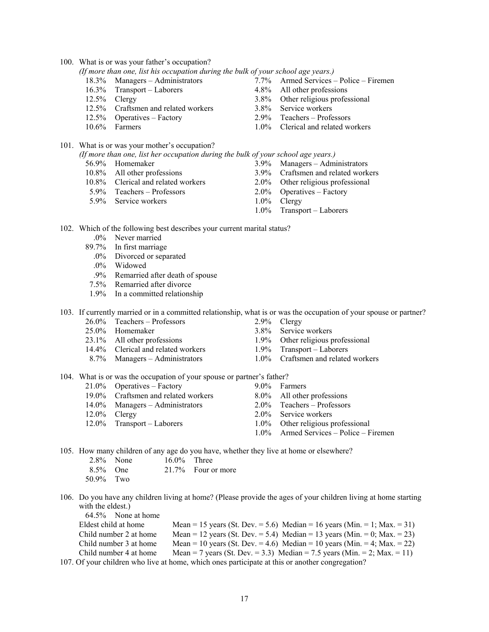100. What is or was your father's occupation?

| (If more than one, list his occupation during the bulk of your school age years.) |  |  |  |
|-----------------------------------------------------------------------------------|--|--|--|
|                                                                                   |  |  |  |

- 
- 16.3% Transport Laborers 4.8% All other professions
- 
- 12.5% Craftsmen and related workers 3.8% Service workers
- 
- 
- 101. What is or was your mother's occupation?

| (If more than one, list her occupation during the bulk of your school age years.) |  |  |  |
|-----------------------------------------------------------------------------------|--|--|--|
|-----------------------------------------------------------------------------------|--|--|--|

- 
- 
- 10.8% Clerical and related workers 2.0% Other religious professional
- 5.9% Teachers Professors 2.0% Operatives Factory<br>5.9% Service workers 1.0% Clergy
- 5.9% Service workers
- 18.3% Managers Administrators 7.7% Armed Services Police Firemen
	-
- 12.5% Clergy 3.8% Other religious professional
	-
- 12.5% Operatives Factory 2.9% Teachers Professors
- 10.6% Farmers 1.0% Clerical and related workers
	-
- 56.9% Homemaker 3.9% Managers Administrators<br>10.8% All other professions 3.9% Craftsmen and related work
	- 3.9% Craftsmen and related workers
	-
	-
	-
	- 1.0% Transport Laborers

102. Which of the following best describes your current marital status?

- .0% Never married
- 89.7% In first marriage
	- .0% Divorced or separated
	- .0% Widowed
	- .9% Remarried after death of spouse
- 7.5% Remarried after divorce
- 1.9% In a committed relationship

103. If currently married or in a committed relationship, what is or was the occupation of your spouse or partner?

- 26.0% Teachers Professors 2.9% Clergy
- 
- 23.1% All other professions 1.9% Other religious professional 14.4% Clerical and related workers 1.9% Transport Laborers
- 14.4% Clerical and related workers
- 
- 25.0% Homemaker 3.8% Service workers
	-
	-
- 8.7% Managers Administrators 1.0% Craftsmen and related workers

### 104. What is or was the occupation of your spouse or partner's father?

- 21.0% Operatives Factory 9.0% Farmers<br>19.0% Craftsmen and related workers 8.0% All other professions
- 19.0% Craftsmen and related workers
- 14.0% Managers Administrators 2.0% Teachers Professors
- 
- 
- 
- 
- 
- 
- 12.0% Clergy 2.0% Service workers
- 12.0% Transport Laborers 1.0% Other religious professional
	- 1.0% Armed Services Police Firemen

105. How many children of any age do you have, whether they live at home or elsewhere?

|             | $2.8\%$ None | $16.0\%$ Three |                    |
|-------------|--------------|----------------|--------------------|
| $8.5\%$ One |              |                | 21.7% Four or more |
| .           |              |                |                    |

- 50.9% Two
- 106. Do you have any children living at home? (Please provide the ages of your children living at home starting with the eldest.) 64.5% None at home

| $0 + 0 = 1$ . The degree of $\frac{1}{2}$ |                                                                                                 |
|-------------------------------------------|-------------------------------------------------------------------------------------------------|
| Eldest child at home                      | Mean = 15 years (St. Dev. = 5.6) Median = 16 years (Min. = 1; Max. = 31)                        |
| Child number 2 at home                    | Mean = 12 years (St. Dev. = 5.4) Median = 13 years (Min. = 0; Max. = 23)                        |
| Child number 3 at home                    | Mean = 10 years (St. Dev. = 4.6) Median = 10 years (Min. = 4; Max. = 22)                        |
| Child number 4 at home                    | Mean = 7 years (St. Dev. = 3.3) Median = 7.5 years (Min. = 2; Max. = 11)                        |
|                                           | 107. Of your children who live at home, which ones participate at this or another congregation? |